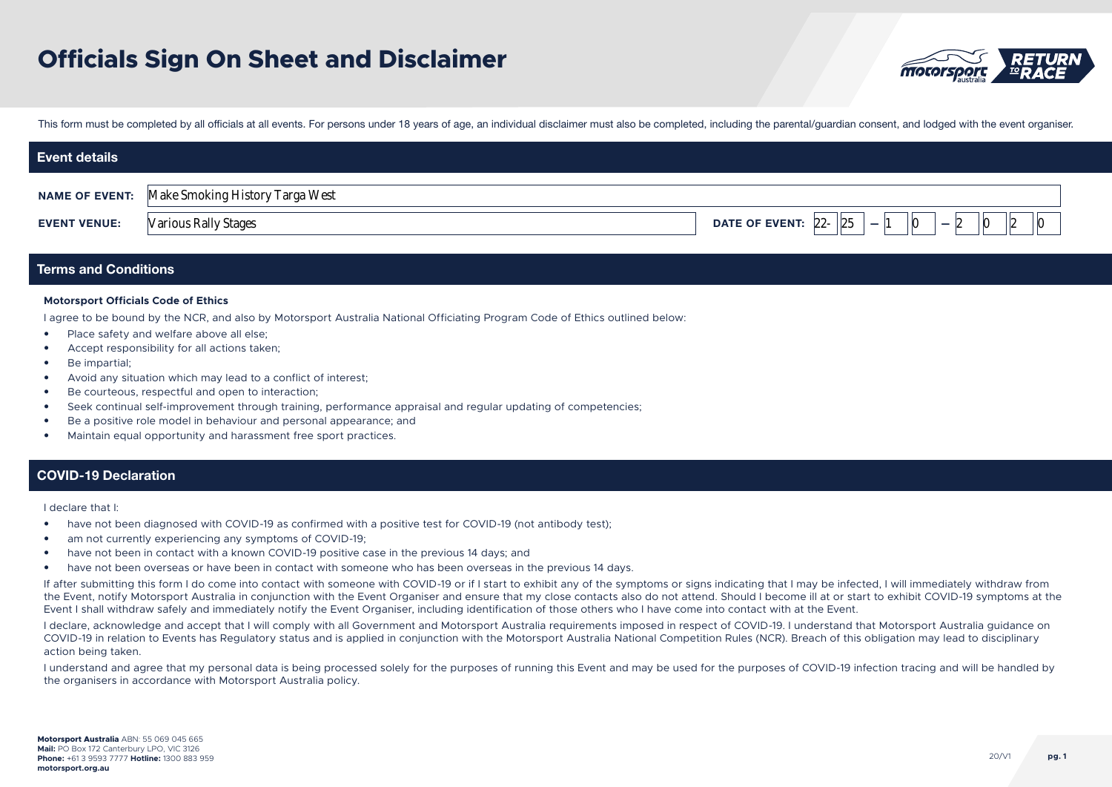

This form must be completed by all officials at all events. For persons under 18 years of age, an individual disclaimer must also be completed, including the parental/guardian consent, and lodged with the event organiser.

| <b>Event details</b> |                                                       |                                       |
|----------------------|-------------------------------------------------------|---------------------------------------|
|                      | <b>NAME OF EVENT:</b> Make Smoking History Targa West |                                       |
| <b>EVENT VENUE:</b>  | <b>Various Rally Stages</b>                           | 25<br>DATE OF EVENT: $22 -$<br>-<br>- |

# Terms and Conditions

### **Motorsport Officials Code of Ethics**

I agree to be bound by the NCR, and also by Motorsport Australia National Officiating Program Code of Ethics outlined below:

- Place safety and welfare above all else;
- Accept responsibility for all actions taken;
- Be impartial;
- Avoid any situation which may lead to a conflict of interest;
- Be courteous, respectful and open to interaction;
- Seek continual self-improvement through training, performance appraisal and regular updating of competencies;
- Be a positive role model in behaviour and personal appearance; and
- Maintain equal opportunity and harassment free sport practices.

### COVID-19 Declaration

I declare that I:

- have not been diagnosed with COVID-19 as confirmed with a positive test for COVID-19 (not antibody test);
- am not currently experiencing any symptoms of COVID-19;
- have not been in contact with a known COVID-19 positive case in the previous 14 days; and
- have not been overseas or have been in contact with someone who has been overseas in the previous 14 days.

If after submitting this form I do come into contact with someone with COVID-19 or if I start to exhibit any of the symptoms or signs indicating that I may be infected, I will immediately withdraw from the Event, notify Motorsport Australia in conjunction with the Event Organiser and ensure that my close contacts also do not attend. Should I become ill at or start to exhibit COVID-19 symptoms at the Event I shall withdraw safely and immediately notify the Event Organiser, including identification of those others who I have come into contact with at the Event.

I declare, acknowledge and accept that I will comply with all Government and Motorsport Australia requirements imposed in respect of COVID-19. I understand that Motorsport Australia guidance on COVID-19 in relation to Events has Regulatory status and is applied in conjunction with the Motorsport Australia National Competition Rules (NCR). Breach of this obligation may lead to disciplinary action being taken.

I understand and agree that my personal data is being processed solely for the purposes of running this Event and may be used for the purposes of COVID-19 infection tracing and will be handled by the organisers in accordance with Motorsport Australia policy.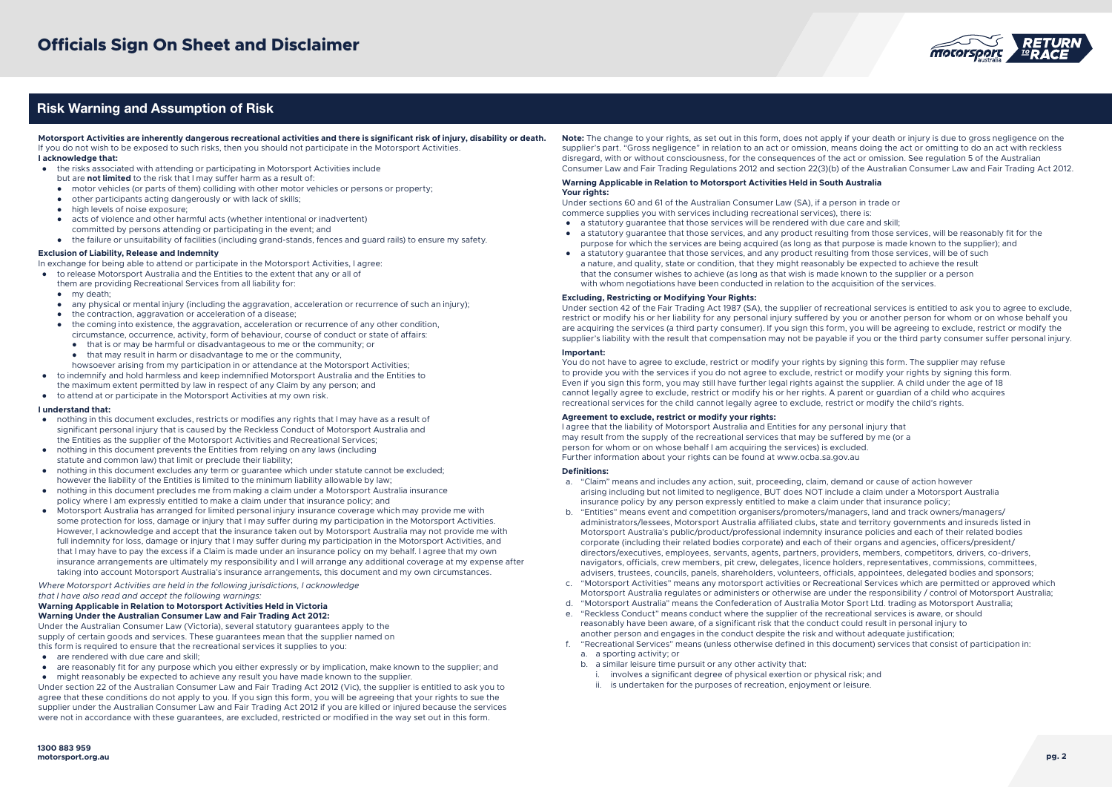

# Risk Warning and Assumption of Risk

**Motorsport Activities are inherently dangerous recreational activities and there is significant risk of injury, disability or death.** If you do not wish to be exposed to such risks, then you should not participate in the Motorsport Activities. **I acknowledge that:**

- the risks associated with attending or participating in Motorsport Activities include
- but are **not limited** to the risk that I may suffer harm as a result of:
- motor vehicles (or parts of them) colliding with other motor vehicles or persons or property;
- other participants acting dangerously or with lack of skills;
- high levels of noise exposure;
- acts of violence and other harmful acts (whether intentional or inadvertent)
- committed by persons attending or participating in the event; and
- the failure or unsuitability of facilities (including grand-stands, fences and guard rails) to ensure my safety.

#### **Exclusion of Liability, Release and Indemnity**

In exchange for being able to attend or participate in the Motorsport Activities, I agree:

- to release Motorsport Australia and the Entities to the extent that any or all of them are providing Recreational Services from all liability for:
	- my death;
	- any physical or mental injury (including the aggravation, acceleration or recurrence of such an injury);
	- the contraction, aggravation or acceleration of a disease;
	- the coming into existence, the aggravation, acceleration or recurrence of any other condition, circumstance, occurrence, activity, form of behaviour, course of conduct or state of affairs:
		- that is or may be harmful or disadvantageous to me or the community; or
		- $\bullet$  that may result in harm or disadvantage to me or the community.
	- howsoever arising from my participation in or attendance at the Motorsport Activities;
- to indemnify and hold harmless and keep indemnified Motorsport Australia and the Entities to the maximum extent permitted by law in respect of any Claim by any person; and
- to attend at or participate in the Motorsport Activities at my own risk.

#### **I understand that:**

- nothing in this document excludes, restricts or modifies any rights that I may have as a result of significant personal injury that is caused by the Reckless Conduct of Motorsport Australia and the Entities as the supplier of the Motorsport Activities and Recreational Services;
- nothing in this document prevents the Entities from relying on any laws (including statute and common law) that limit or preclude their liability;
- nothing in this document excludes any term or guarantee which under statute cannot be excluded; however the liability of the Entities is limited to the minimum liability allowable by law;
- nothing in this document precludes me from making a claim under a Motorsport Australia insurance policy where I am expressly entitled to make a claim under that insurance policy; and
- Motorsport Australia has arranged for limited personal injury insurance coverage which may provide me with some protection for loss, damage or injury that I may suffer during my participation in the Motorsport Activities. However, I acknowledge and accept that the insurance taken out by Motorsport Australia may not provide me with full indemnity for loss, damage or injury that I may suffer during my participation in the Motorsport Activities, and that I may have to pay the excess if a Claim is made under an insurance policy on my behalf. I agree that my own insurance arrangements are ultimately my responsibility and I will arrange any additional coverage at my expense after taking into account Motorsport Australia's insurance arrangements, this document and my own circumstances.

*Where Motorsport Activities are held in the following jurisdictions, I acknowledge that I have also read and accept the following warnings:*

#### **Warning Applicable in Relation to Motorsport Activities Held in Victoria Warning Under the Australian Consumer Law and Fair Trading Act 2012:**

Under the Australian Consumer Law (Victoria), several statutory guarantees apply to the supply of certain goods and services. These guarantees mean that the supplier named on this form is required to ensure that the recreational services it supplies to you:

- are rendered with due care and skill;
- are reasonably fit for any purpose which you either expressly or by implication, make known to the supplier; and
- might reasonably be expected to achieve any result you have made known to the supplier.

Under section 22 of the Australian Consumer Law and Fair Trading Act 2012 (Vic), the supplier is entitled to ask you to agree that these conditions do not apply to you. If you sign this form, you will be agreeing that your rights to sue the supplier under the Australian Consumer Law and Fair Trading Act 2012 if you are killed or injured because the services were not in accordance with these guarantees, are excluded, restricted or modified in the way set out in this form.

**Note:** The change to your rights, as set out in this form, does not apply if your death or injury is due to gross negligence on the supplier's part. "Gross negligence" in relation to an act or omission, means doing the act or omitting to do an act with reckless disregard, with or without consciousness, for the consequences of the act or omission. See regulation 5 of the Australian Consumer Law and Fair Trading Regulations 2012 and section 22(3)(b) of the Australian Consumer Law and Fair Trading Act 2012.

#### **Warning Applicable in Relation to Motorsport Activities Held in South Australia Your rights:**

Under sections 60 and 61 of the Australian Consumer Law (SA), if a person in trade or commerce supplies you with services including recreational services), there is:

- a statutory guarantee that those services will be rendered with due care and skill;
- a statutory guarantee that those services, and any product resulting from those services, will be reasonably fit for the purpose for which the services are being acquired (as long as that purpose is made known to the supplier); and
- a statutory guarantee that those services, and any product resulting from those services, will be of such a nature, and quality, state or condition, that they might reasonably be expected to achieve the result that the consumer wishes to achieve (as long as that wish is made known to the supplier or a person with whom negotiations have been conducted in relation to the acquisition of the services.

#### **Excluding, Restricting or Modifying Your Rights:**

Under section 42 of the Fair Trading Act 1987 (SA), the supplier of recreational services is entitled to ask you to agree to exclude, restrict or modify his or her liability for any personal injury suffered by you or another person for whom or on whose behalf you are acquiring the services (a third party consumer). If you sign this form, you will be agreeing to exclude, restrict or modify the supplier's liability with the result that compensation may not be payable if you or the third party consumer suffer personal injury.

#### **Important:**

You do not have to agree to exclude, restrict or modify your rights by signing this form. The supplier may refuse to provide you with the services if you do not agree to exclude, restrict or modify your rights by signing this form. Even if you sign this form, you may still have further legal rights against the supplier. A child under the age of 18 cannot legally agree to exclude, restrict or modify his or her rights. A parent or guardian of a child who acquires recreational services for the child cannot legally agree to exclude, restrict or modify the child's rights.

### **Agreement to exclude, restrict or modify your rights:**

I agree that the liability of Motorsport Australia and Entities for any personal injury that may result from the supply of the recreational services that may be suffered by me (or a person for whom or on whose behalf I am acquiring the services) is excluded. Further information about your rights can be found at www.ocba.sa.gov.au

#### **Definitions:**

- a. "Claim" means and includes any action, suit, proceeding, claim, demand or cause of action however arising including but not limited to negligence, BUT does NOT include a claim under a Motorsport Australia insurance policy by any person expressly entitled to make a claim under that insurance policy;
- b. "Entities" means event and competition organisers/promoters/managers, land and track owners/managers/ administrators/lessees, Motorsport Australia affiliated clubs, state and territory governments and insureds listed in Motorsport Australia's public/product/professional indemnity insurance policies and each of their related bodies corporate (including their related bodies corporate) and each of their organs and agencies, officers/president/ directors/executives, employees, servants, agents, partners, providers, members, competitors, drivers, co-drivers, navigators, officials, crew members, pit crew, delegates, licence holders, representatives, commissions, committees, advisers, trustees, councils, panels, shareholders, volunteers, officials, appointees, delegated bodies and sponsors;
- c. "Motorsport Activities" means any motorsport activities or Recreational Services which are permitted or approved which Motorsport Australia regulates or administers or otherwise are under the responsibility / control of Motorsport Australia;
- d. "Motorsport Australia" means the Confederation of Australia Motor Sport Ltd. trading as Motorsport Australia;
- e. "Reckless Conduct" means conduct where the supplier of the recreational services is aware, or should reasonably have been aware, of a significant risk that the conduct could result in personal injury to another person and engages in the conduct despite the risk and without adequate justification;
- f. "Recreational Services" means (unless otherwise defined in this document) services that consist of participation in: a. a sporting activity; or
	- b. a similar leisure time pursuit or any other activity that:
		- i. involves a significant degree of physical exertion or physical risk; and
		- ii. is undertaken for the purposes of recreation, enjoyment or leisure.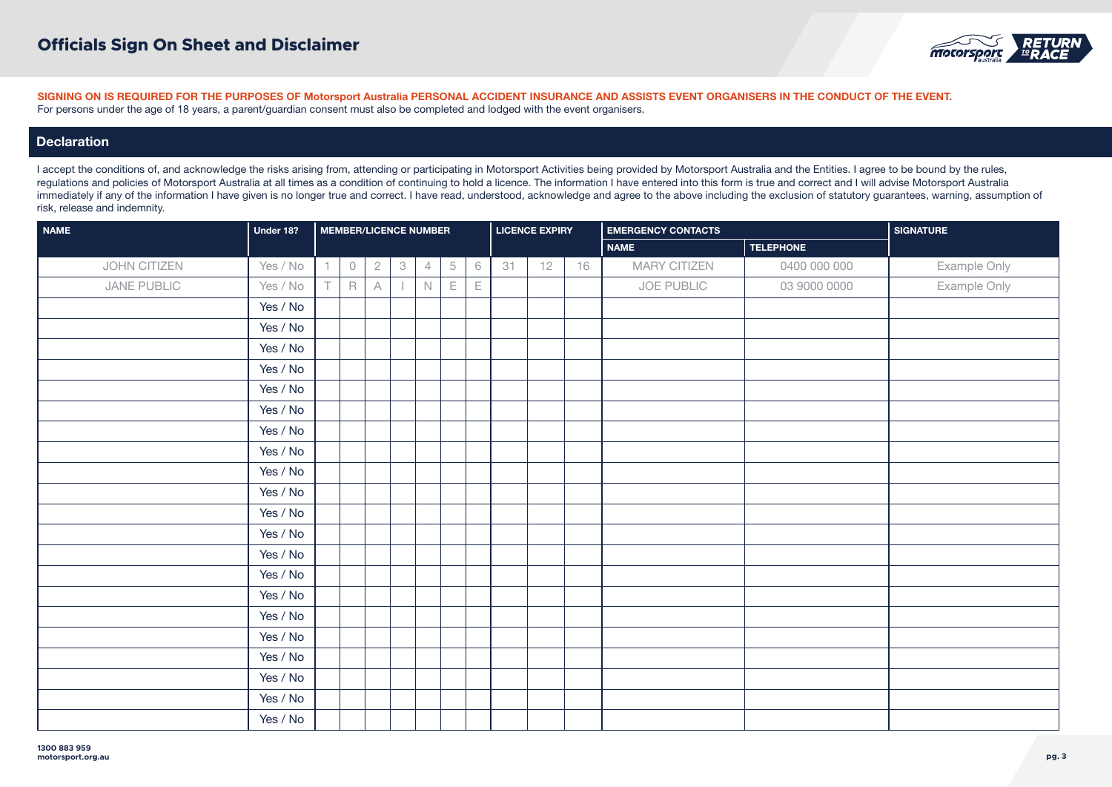

# **Declaration**

| <b>NAME</b>  | Under 18? |    | <b>MEMBER/LICENCE NUMBER</b> |   |                           |                |   |             | <b>LICENCE EXPIRY</b> |    |    | <b>EMERGENCY CONTACTS</b> | <b>SIGNATURE</b> |              |
|--------------|-----------|----|------------------------------|---|---------------------------|----------------|---|-------------|-----------------------|----|----|---------------------------|------------------|--------------|
|              |           |    |                              |   |                           |                |   |             |                       |    |    | <b>NAME</b>               | <b>TELEPHONE</b> |              |
| JOHN CITIZEN | Yes / No  |    | $\circledcirc$               | 2 | $\ensuremath{\mathsf{3}}$ | $\overline{4}$ | 5 | $\,$ 6      | 31                    | 12 | 16 | MARY CITIZEN              | 0400 000 000     | Example Only |
| JANE PUBLIC  | Yes / No  | т. | $\mathsf R$                  | A |                           | $\mathbb N$    | Е | $\mathsf E$ |                       |    |    | JOE PUBLIC                | 03 9000 0000     | Example Only |
|              | Yes / No  |    |                              |   |                           |                |   |             |                       |    |    |                           |                  |              |
|              | Yes / No  |    |                              |   |                           |                |   |             |                       |    |    |                           |                  |              |
|              | Yes / No  |    |                              |   |                           |                |   |             |                       |    |    |                           |                  |              |
|              | Yes / No  |    |                              |   |                           |                |   |             |                       |    |    |                           |                  |              |
|              | Yes / No  |    |                              |   |                           |                |   |             |                       |    |    |                           |                  |              |
|              | Yes / No  |    |                              |   |                           |                |   |             |                       |    |    |                           |                  |              |
|              | Yes / No  |    |                              |   |                           |                |   |             |                       |    |    |                           |                  |              |
|              | Yes / No  |    |                              |   |                           |                |   |             |                       |    |    |                           |                  |              |
|              | Yes / No  |    |                              |   |                           |                |   |             |                       |    |    |                           |                  |              |
|              | Yes / No  |    |                              |   |                           |                |   |             |                       |    |    |                           |                  |              |
|              | Yes / No  |    |                              |   |                           |                |   |             |                       |    |    |                           |                  |              |
|              | Yes / No  |    |                              |   |                           |                |   |             |                       |    |    |                           |                  |              |
|              | Yes / No  |    |                              |   |                           |                |   |             |                       |    |    |                           |                  |              |
|              | Yes / No  |    |                              |   |                           |                |   |             |                       |    |    |                           |                  |              |
|              | Yes / No  |    |                              |   |                           |                |   |             |                       |    |    |                           |                  |              |
|              | Yes / No  |    |                              |   |                           |                |   |             |                       |    |    |                           |                  |              |
|              | Yes / No  |    |                              |   |                           |                |   |             |                       |    |    |                           |                  |              |
|              | Yes / No  |    |                              |   |                           |                |   |             |                       |    |    |                           |                  |              |
|              | Yes / No  |    |                              |   |                           |                |   |             |                       |    |    |                           |                  |              |
|              | Yes / No  |    |                              |   |                           |                |   |             |                       |    |    |                           |                  |              |
|              | Yes / No  |    |                              |   |                           |                |   |             |                       |    |    |                           |                  |              |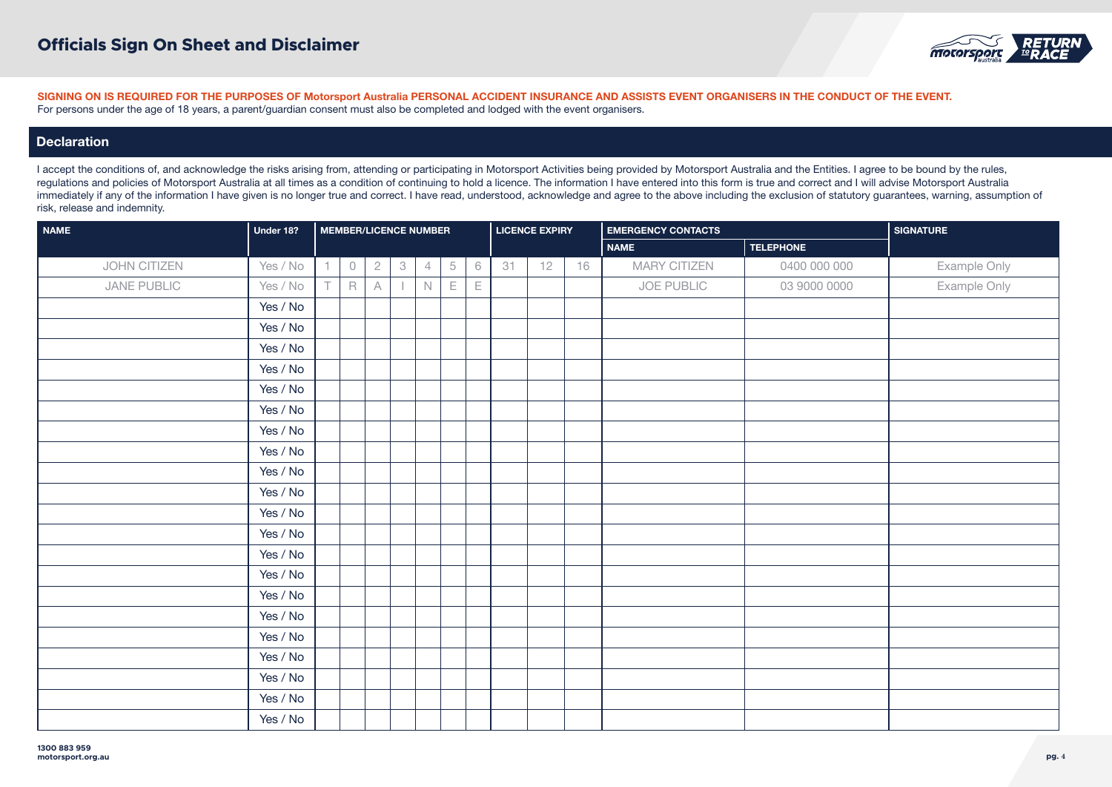

# **Declaration**

| <b>NAME</b>  | Under 18? |                |             |                | <b>MEMBER/LICENCE NUMBER</b> |                |   |             |    | <b>LICENCE EXPIRY</b> |    | <b>EMERGENCY CONTACTS</b> |                  | <b>SIGNATURE</b> |
|--------------|-----------|----------------|-------------|----------------|------------------------------|----------------|---|-------------|----|-----------------------|----|---------------------------|------------------|------------------|
|              |           |                |             |                |                              |                |   |             |    |                       |    | <b>NAME</b>               | <b>TELEPHONE</b> |                  |
| JOHN CITIZEN | Yes / No  | $\overline{1}$ | $\bigcirc$  | 2 <sup>1</sup> | $\ensuremath{\mathsf{3}}$    | $\overline{4}$ | 5 | $\,$ 6      | 31 | 12                    | 16 | <b>MARY CITIZEN</b>       | 0400 000 000     | Example Only     |
| JANE PUBLIC  | Yes / No  | $\top$         | $\mathsf R$ | A              |                              | $\mathbb N$    | Ε | $\mathsf E$ |    |                       |    | JOE PUBLIC                | 03 9000 0000     | Example Only     |
|              | Yes / No  |                |             |                |                              |                |   |             |    |                       |    |                           |                  |                  |
|              | Yes / No  |                |             |                |                              |                |   |             |    |                       |    |                           |                  |                  |
|              | Yes / No  |                |             |                |                              |                |   |             |    |                       |    |                           |                  |                  |
|              | Yes / No  |                |             |                |                              |                |   |             |    |                       |    |                           |                  |                  |
|              | Yes / No  |                |             |                |                              |                |   |             |    |                       |    |                           |                  |                  |
|              | Yes / No  |                |             |                |                              |                |   |             |    |                       |    |                           |                  |                  |
|              | Yes / No  |                |             |                |                              |                |   |             |    |                       |    |                           |                  |                  |
|              | Yes / No  |                |             |                |                              |                |   |             |    |                       |    |                           |                  |                  |
|              | Yes / No  |                |             |                |                              |                |   |             |    |                       |    |                           |                  |                  |
|              | Yes / No  |                |             |                |                              |                |   |             |    |                       |    |                           |                  |                  |
|              | Yes / No  |                |             |                |                              |                |   |             |    |                       |    |                           |                  |                  |
|              | Yes / No  |                |             |                |                              |                |   |             |    |                       |    |                           |                  |                  |
|              | Yes / No  |                |             |                |                              |                |   |             |    |                       |    |                           |                  |                  |
|              | Yes / No  |                |             |                |                              |                |   |             |    |                       |    |                           |                  |                  |
|              | Yes / No  |                |             |                |                              |                |   |             |    |                       |    |                           |                  |                  |
|              | Yes / No  |                |             |                |                              |                |   |             |    |                       |    |                           |                  |                  |
|              | Yes / No  |                |             |                |                              |                |   |             |    |                       |    |                           |                  |                  |
|              | Yes / No  |                |             |                |                              |                |   |             |    |                       |    |                           |                  |                  |
|              | Yes / No  |                |             |                |                              |                |   |             |    |                       |    |                           |                  |                  |
|              | Yes / No  |                |             |                |                              |                |   |             |    |                       |    |                           |                  |                  |
|              | Yes / No  |                |             |                |                              |                |   |             |    |                       |    |                           |                  |                  |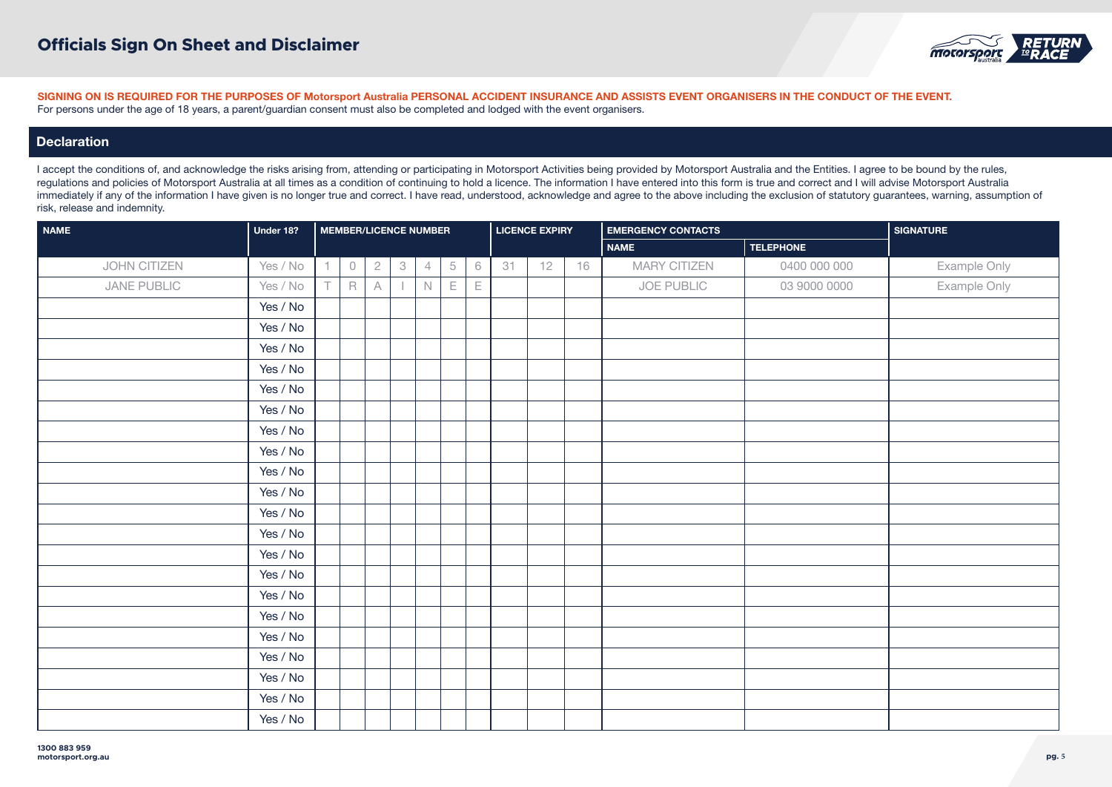

# **Declaration**

| <b>NAME</b>  | Under 18? |    |                |   |                           | <b>MEMBER/LICENCE NUMBER</b> |   |             | <b>LICENCE EXPIRY</b> |    |    | <b>EMERGENCY CONTACTS</b> | <b>SIGNATURE</b> |              |
|--------------|-----------|----|----------------|---|---------------------------|------------------------------|---|-------------|-----------------------|----|----|---------------------------|------------------|--------------|
|              |           |    |                |   |                           |                              |   |             |                       |    |    | <b>NAME</b>               | <b>TELEPHONE</b> |              |
| JOHN CITIZEN | Yes / No  |    | $\circledcirc$ | 2 | $\ensuremath{\mathsf{3}}$ | $\overline{4}$               | 5 | $\,$ 6      | 31                    | 12 | 16 | <b>MARY CITIZEN</b>       | 0400 000 000     | Example Only |
| JANE PUBLIC  | Yes / No  | т. | $\mathsf R$    | A |                           | N                            | Е | $\mathsf E$ |                       |    |    | JOE PUBLIC                | 03 9000 0000     | Example Only |
|              | Yes / No  |    |                |   |                           |                              |   |             |                       |    |    |                           |                  |              |
|              | Yes / No  |    |                |   |                           |                              |   |             |                       |    |    |                           |                  |              |
|              | Yes / No  |    |                |   |                           |                              |   |             |                       |    |    |                           |                  |              |
|              | Yes / No  |    |                |   |                           |                              |   |             |                       |    |    |                           |                  |              |
|              | Yes / No  |    |                |   |                           |                              |   |             |                       |    |    |                           |                  |              |
|              | Yes / No  |    |                |   |                           |                              |   |             |                       |    |    |                           |                  |              |
|              | Yes / No  |    |                |   |                           |                              |   |             |                       |    |    |                           |                  |              |
|              | Yes / No  |    |                |   |                           |                              |   |             |                       |    |    |                           |                  |              |
|              | Yes / No  |    |                |   |                           |                              |   |             |                       |    |    |                           |                  |              |
|              | Yes / No  |    |                |   |                           |                              |   |             |                       |    |    |                           |                  |              |
|              | Yes / No  |    |                |   |                           |                              |   |             |                       |    |    |                           |                  |              |
|              | Yes / No  |    |                |   |                           |                              |   |             |                       |    |    |                           |                  |              |
|              | Yes / No  |    |                |   |                           |                              |   |             |                       |    |    |                           |                  |              |
|              | Yes / No  |    |                |   |                           |                              |   |             |                       |    |    |                           |                  |              |
|              | Yes / No  |    |                |   |                           |                              |   |             |                       |    |    |                           |                  |              |
|              | Yes / No  |    |                |   |                           |                              |   |             |                       |    |    |                           |                  |              |
|              | Yes / No  |    |                |   |                           |                              |   |             |                       |    |    |                           |                  |              |
|              | Yes / No  |    |                |   |                           |                              |   |             |                       |    |    |                           |                  |              |
|              | Yes / No  |    |                |   |                           |                              |   |             |                       |    |    |                           |                  |              |
|              | Yes / No  |    |                |   |                           |                              |   |             |                       |    |    |                           |                  |              |
|              | Yes / No  |    |                |   |                           |                              |   |             |                       |    |    |                           |                  |              |